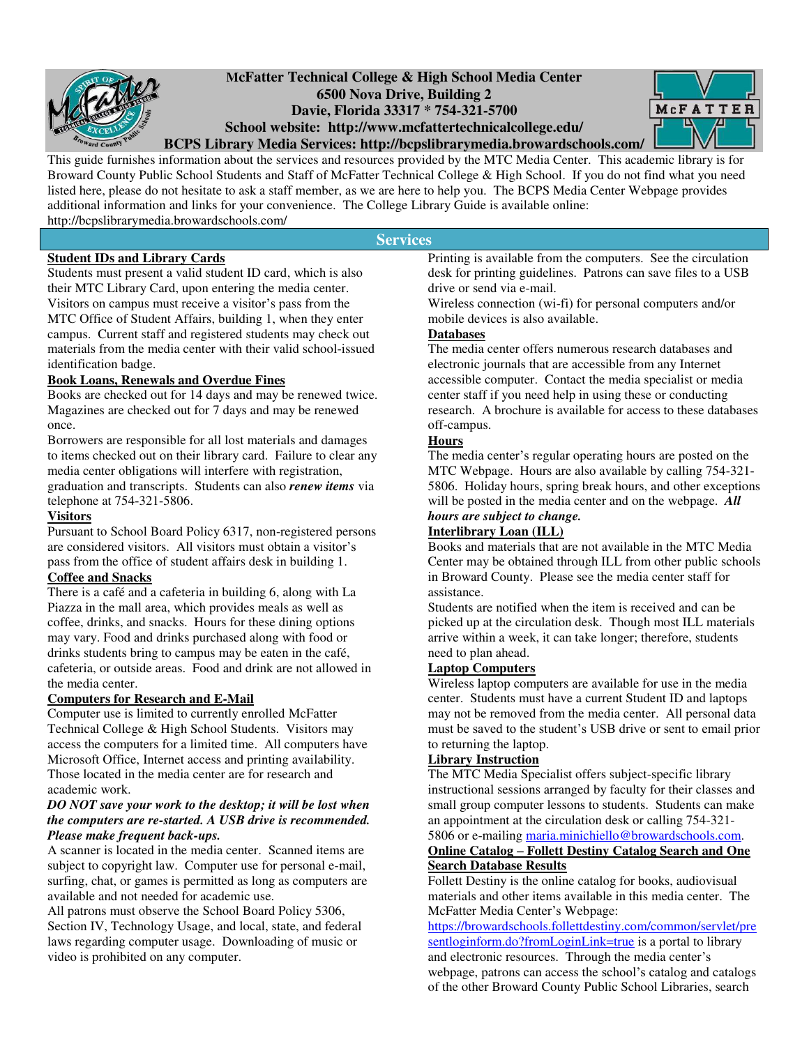

# **McFatter Technical College & High School Media Center 6500 Nova Drive, Building 2 Davie, Florida 33317 \* 754-321-5700 School website: http://www.mcfattertechnicalcollege.edu/**



**BCPS Library Media Services: http://bcpslibrarymedia.browardschools.com/** 

This guide furnishes information about the services and resources provided by the MTC Media Center. This academic library is for Broward County Public School Students and Staff of McFatter Technical College & High School. If you do not find what you need listed here, please do not hesitate to ask a staff member, as we are here to help you. The BCPS Media Center Webpage provides additional information and links for your convenience. The College Library Guide is available online: http://bcpslibrarymedia.browardschools.com/

**Services** 

## **Student IDs and Library Cards**

Students must present a valid student ID card, which is also their MTC Library Card, upon entering the media center. Visitors on campus must receive a visitor's pass from the MTC Office of Student Affairs, building 1, when they enter campus. Current staff and registered students may check out materials from the media center with their valid school-issued identification badge.

### **Book Loans, Renewals and Overdue Fines**

Books are checked out for 14 days and may be renewed twice. Magazines are checked out for 7 days and may be renewed once.

Borrowers are responsible for all lost materials and damages to items checked out on their library card. Failure to clear any media center obligations will interfere with registration, graduation and transcripts. Students can also *renew items* via telephone at 754-321-5806.

### **Visitors**

Pursuant to School Board Policy 6317, non-registered persons are considered visitors. All visitors must obtain a visitor's pass from the office of student affairs desk in building 1.

### **Coffee and Snacks**

There is a café and a cafeteria in building 6, along with La Piazza in the mall area, which provides meals as well as coffee, drinks, and snacks. Hours for these dining options may vary. Food and drinks purchased along with food or drinks students bring to campus may be eaten in the café, cafeteria, or outside areas. Food and drink are not allowed in the media center.

### **Computers for Research and E-Mail**

Computer use is limited to currently enrolled McFatter Technical College & High School Students. Visitors may access the computers for a limited time. All computers have Microsoft Office, Internet access and printing availability. Those located in the media center are for research and academic work.

### *DO NOT save your work to the desktop; it will be lost when the computers are re-started. A USB drive is recommended. Please make frequent back-ups.*

A scanner is located in the media center. Scanned items are subject to copyright law. Computer use for personal e-mail, surfing, chat, or games is permitted as long as computers are available and not needed for academic use.

All patrons must observe the School Board Policy 5306, Section IV, Technology Usage, and local, state, and federal laws regarding computer usage. Downloading of music or video is prohibited on any computer.

Printing is available from the computers. See the circulation desk for printing guidelines. Patrons can save files to a USB drive or send via e-mail.

Wireless connection (wi-fi) for personal computers and/or mobile devices is also available.

### **Databases**

The media center offers numerous research databases and electronic journals that are accessible from any Internet accessible computer. Contact the media specialist or media center staff if you need help in using these or conducting research. A brochure is available for access to these databases off-campus.

### **Hours**

The media center's regular operating hours are posted on the MTC Webpage. Hours are also available by calling 754-321- 5806. Holiday hours, spring break hours, and other exceptions will be posted in the media center and on the webpage. *All hours are subject to change.* 

## **Interlibrary Loan (ILL)**

Books and materials that are not available in the MTC Media Center may be obtained through ILL from other public schools in Broward County. Please see the media center staff for assistance.

Students are notified when the item is received and can be picked up at the circulation desk. Though most ILL materials arrive within a week, it can take longer; therefore, students need to plan ahead.

### **Laptop Computers**

Wireless laptop computers are available for use in the media center. Students must have a current Student ID and laptops may not be removed from the media center. All personal data must be saved to the student's USB drive or sent to email prior to returning the laptop.

### **Library Instruction**

The MTC Media Specialist offers subject-specific library instructional sessions arranged by faculty for their classes and small group computer lessons to students. Students can make an appointment at the circulation desk or calling 754-321-

#### 5806 or e-mailing [maria.minichiello@browardschools.com.](mailto:maria.minichiello@browardschools.com) **Online Catalog – Follett Destiny Catalog Search and One**

### **Search Database Results**

Follett Destiny is the online catalog for books, audiovisual materials and other items available in this media center. The McFatter Media Center's Webpage:

[https://browardschools.follettdestiny.com/common/servlet/pre](https://browardschools.follettdestiny.com/common/servlet/presentloginform.do?fromLoginLink=true) [sentloginform.do?fromLoginLink=true i](https://browardschools.follettdestiny.com/common/servlet/presentloginform.do?fromLoginLink=true)s a portal to library and electronic resources. Through the media center's webpage, patrons can access the school's catalog and catalogs of the other Broward County Public School Libraries, search